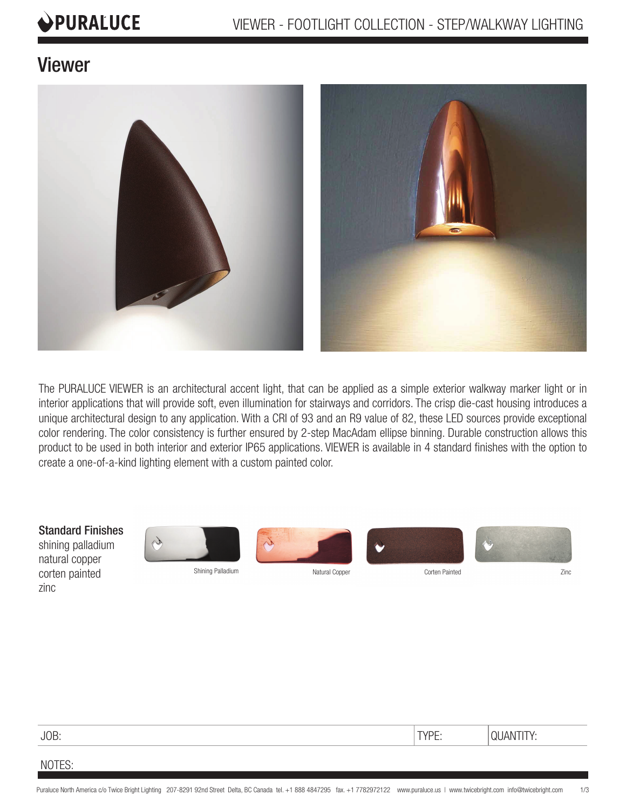# PURALUCE

## Viewer



The PURALUCE VIEWER is an architectural accent light, that can be applied as a simple exterior walkway marker light or in interior applications that will provide soft, even illumination for stairways and corridors. The crisp die-cast housing introduces a unique architectural design to any application. With a CRI of 93 and an R9 value of 82, these LED sources provide exceptional color rendering. The color consistency is further ensured by 2-step MacAdam ellipse binning. Durable construction allows this product to be used in both interior and exterior IP65 applications. VIEWER is available in 4 standard finishes with the option to create a one-of-a-kind lighting element with a custom painted color.

Standard Finishes

shining palladium natural copper corten painted zinc



Shining Palladium **Natural Copper Corten Painted** Corten Painted **Zinc** 



a





### NOTES: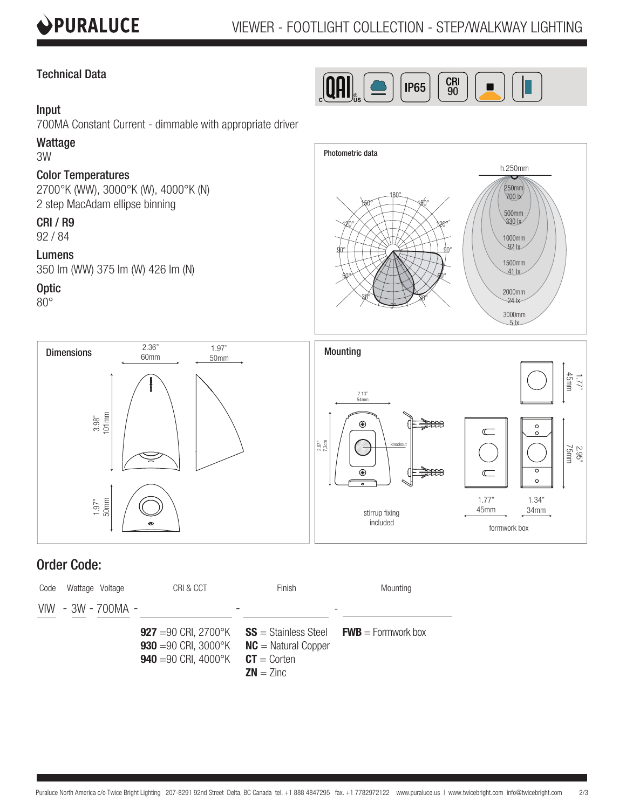

 $\overline{P65}$   $\overline{S}$   $\overline{S}$   $\overline{S}$ 

 $\left[\mathbf{Q}\mathbf{H}\right]_{\!\scriptscriptstyle\mathrm{s}}$ 

### Technical Data

### Input

700MA Constant Current - dimmable with appropriate driver

### Wattage

3W

### Color Temperatures

2700°K (WW), 3000°K (W), 4000°K (N) 2 step MacAdam ellipse binning

### CRI / R9

92 / 84

### Lumens

350 lm (WW) 375 lm (W) 426 lm (N)

### **Optic**

80°



3000mm



### Order Code: